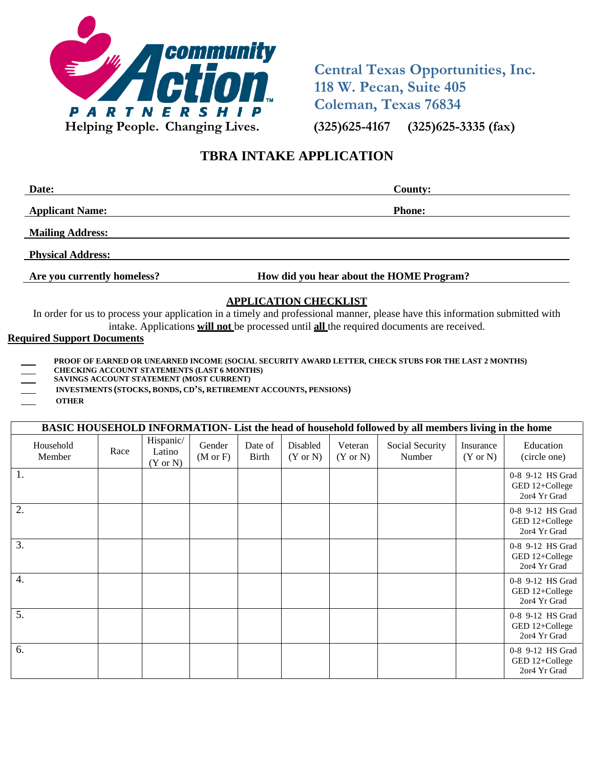

**Central Texas Opportunities, Inc. 118 W. Pecan, Suite 405 Coleman, Texas 76834**

# **TBRA INTAKE APPLICATION**

| Date:                    | <b>County:</b> |
|--------------------------|----------------|
| <b>Applicant Name:</b>   | <b>Phone:</b>  |
| <b>Mailing Address:</b>  |                |
| <b>Physical Address:</b> |                |

**Are you currently homeless? How did you hear about the HOME Program?**

# **APPLICATION CHECKLIST**

In order for us to process your application in a timely and professional manner, please have this information submitted with intake. Applications **will not** be processed until **all** the required documents are received.

#### **Required Support Documents**

- **PROOF OF EARNED OR UNEARNED INCOME (SOCIAL SECURITY AWARD LETTER, CHECK STUBS FOR THE LAST 2 MONTHS)**
- **CHECKING ACCOUNT STATEMENTS (LAST 6 MONTHS)**
- **SAVINGS ACCOUNT STATEMENT (MOST CURRENT)**
- **INVESTMENTS (STOCKS, BONDS, CD'S, RETIREMENT ACCOUNTS, PENSIONS)**
- **OTHER**

|                     |      |                                            |                               |                         |                                 |                                | BASIC HOUSEHOLD INFORMATION-List the head of household followed by all members living in the home |                                  |                                                    |
|---------------------|------|--------------------------------------------|-------------------------------|-------------------------|---------------------------------|--------------------------------|---------------------------------------------------------------------------------------------------|----------------------------------|----------------------------------------------------|
| Household<br>Member | Race | Hispanic/<br>Latino<br>$(Y \text{ or } N)$ | Gender<br>$(M \text{ or } F)$ | Date of<br><b>Birth</b> | Disabled<br>$(Y \text{ or } N)$ | Veteran<br>$(Y \text{ or } N)$ | Social Security<br>Number                                                                         | Insurance<br>$(Y \text{ or } N)$ | Education<br>(circle one)                          |
| 1.                  |      |                                            |                               |                         |                                 |                                |                                                                                                   |                                  | 0-8 9-12 HS Grad<br>GED 12+College<br>2or4 Yr Grad |
| 2.                  |      |                                            |                               |                         |                                 |                                |                                                                                                   |                                  | 0-8 9-12 HS Grad<br>GED 12+College<br>2or4 Yr Grad |
| 3.                  |      |                                            |                               |                         |                                 |                                |                                                                                                   |                                  | 0-8 9-12 HS Grad<br>GED 12+College<br>2or4 Yr Grad |
| $\overline{4}$ .    |      |                                            |                               |                         |                                 |                                |                                                                                                   |                                  | 0-8 9-12 HS Grad<br>GED 12+College<br>2or4 Yr Grad |
| 5.                  |      |                                            |                               |                         |                                 |                                |                                                                                                   |                                  | 0-8 9-12 HS Grad<br>GED 12+College<br>2or4 Yr Grad |
| 6.                  |      |                                            |                               |                         |                                 |                                |                                                                                                   |                                  | 0-8 9-12 HS Grad<br>GED 12+College<br>2or4 Yr Grad |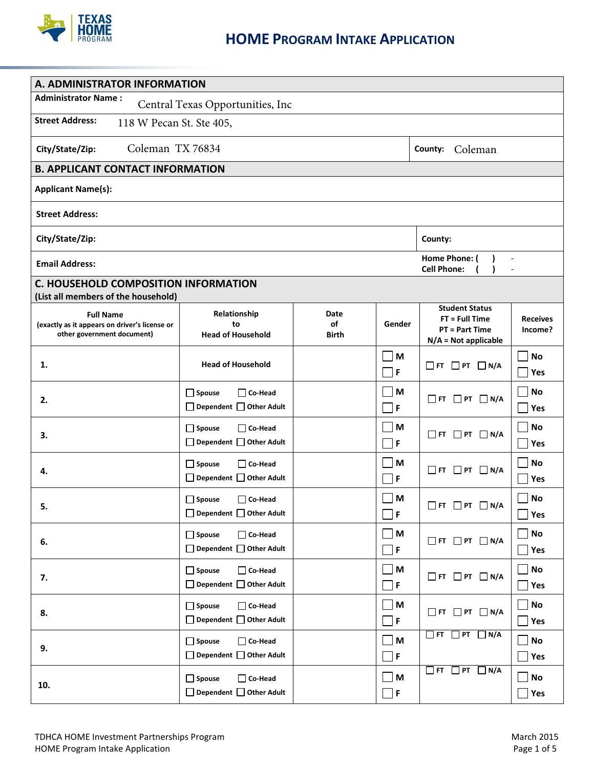

| A. ADMINISTRATOR INFORMATION                                                                    |                                                                        |                            |                               |                                                                                              |                                 |  |  |  |
|-------------------------------------------------------------------------------------------------|------------------------------------------------------------------------|----------------------------|-------------------------------|----------------------------------------------------------------------------------------------|---------------------------------|--|--|--|
| <b>Administrator Name:</b>                                                                      | Central Texas Opportunities, Inc                                       |                            |                               |                                                                                              |                                 |  |  |  |
| <b>Street Address:</b><br>118 W Pecan St. Ste 405,                                              |                                                                        |                            |                               |                                                                                              |                                 |  |  |  |
| City/State/Zip:                                                                                 | Coleman TX 76834<br>Coleman<br>County:                                 |                            |                               |                                                                                              |                                 |  |  |  |
| <b>B. APPLICANT CONTACT INFORMATION</b>                                                         |                                                                        |                            |                               |                                                                                              |                                 |  |  |  |
| <b>Applicant Name(s):</b>                                                                       |                                                                        |                            |                               |                                                                                              |                                 |  |  |  |
| <b>Street Address:</b>                                                                          |                                                                        |                            |                               |                                                                                              |                                 |  |  |  |
| City/State/Zip:                                                                                 |                                                                        |                            |                               | County:                                                                                      |                                 |  |  |  |
| <b>Email Address:</b>                                                                           |                                                                        |                            |                               | Home Phone: (<br><b>Cell Phone:</b>                                                          |                                 |  |  |  |
| <b>C. HOUSEHOLD COMPOSITION INFORMATION</b><br>(List all members of the household)              |                                                                        |                            |                               |                                                                                              |                                 |  |  |  |
| <b>Full Name</b><br>(exactly as it appears on driver's license or<br>other government document) | Relationship<br>to<br><b>Head of Household</b>                         | Date<br>of<br><b>Birth</b> | Gender                        | <b>Student Status</b><br>$FT = Full Time$<br><b>PT = Part Time</b><br>$N/A = Not$ applicable | <b>Receives</b><br>Income?      |  |  |  |
| 1.                                                                                              | <b>Head of Household</b>                                               |                            | M<br>F                        | $\Box$ FT $\Box$ PT $\Box$ N/A                                                               | No<br>Yes<br>$\blacksquare$     |  |  |  |
| 2.                                                                                              | $\Box$ Spouse<br>$\Box$ Co-Head<br>$\Box$ Dependent $\Box$ Other Adult |                            | M<br>$\mathsf F$              | $\Box$ FT $\Box$ PT $\Box$ N/A                                                               | <b>No</b><br>Yes<br>$\sim$      |  |  |  |
| 3.                                                                                              | $\Box$ Spouse<br>$\Box$ Co-Head<br>□ Dependent □ Other Adult           |                            | M<br>F                        | $\Box$ FT $\Box$ PT $\Box$ N/A                                                               | <b>No</b><br>Yes                |  |  |  |
| 4.                                                                                              | $\Box$ Spouse<br>□ Co-Head<br>□ Dependent □ Other Adult                |                            | M<br>F                        | $\Box$ FT $\Box$ PT $\Box$ N/A                                                               | <b>No</b><br>Yes                |  |  |  |
| 5                                                                                               | $\Box$ Spouse<br>□ Co-Head<br>$\Box$ Dependent $\Box$ Other Adult      |                            | M<br>F                        | $\Box$ FT $\Box$ PT $\Box$ N/A                                                               | <b>No</b><br>Yes                |  |  |  |
| 6.                                                                                              | $\Box$ Spouse<br>$\Box$ Co-Head<br>□ Dependent □ Other Adult           |                            | M<br>F                        | $\Box$ FT $\Box$ PT $\Box$ N/A                                                               | <b>No</b><br>$\blacksquare$ Yes |  |  |  |
| 7.                                                                                              | $\Box$ Spouse<br>$\Box$ Co-Head<br>□ Dependent □ Other Adult           |                            | M<br>F                        | $\Box$ FT $\Box$ PT $\Box$ N/A                                                               | <b>No</b><br>$\blacksquare$ Yes |  |  |  |
| 8.                                                                                              | $\Box$ Spouse<br>$\Box$ Co-Head<br>□ Dependent □ Other Adult           |                            | M<br>$\mathsf F$              | $\Box$ FT $\Box$ PT $\Box$ N/A                                                               | <b>No</b><br>$\Box$ Yes         |  |  |  |
| 9.                                                                                              | $\Box$ Spouse<br>$\Box$ Co-Head<br>□ Dependent □ Other Adult           |                            | M<br>∐ F                      | $\Box$ FT $\Box$ PT $\Box$ N/A                                                               | No<br>$\Box$ Yes                |  |  |  |
| 10.                                                                                             | $\Box$ Spouse<br>$\Box$ Co-Head<br>□ Dependent □ Other Adult           |                            | $\blacksquare$<br>$\mathsf F$ | $\Box$ FT $\Box$ PT<br>$\Box$ N/A                                                            | $\Box$ No<br>Yes                |  |  |  |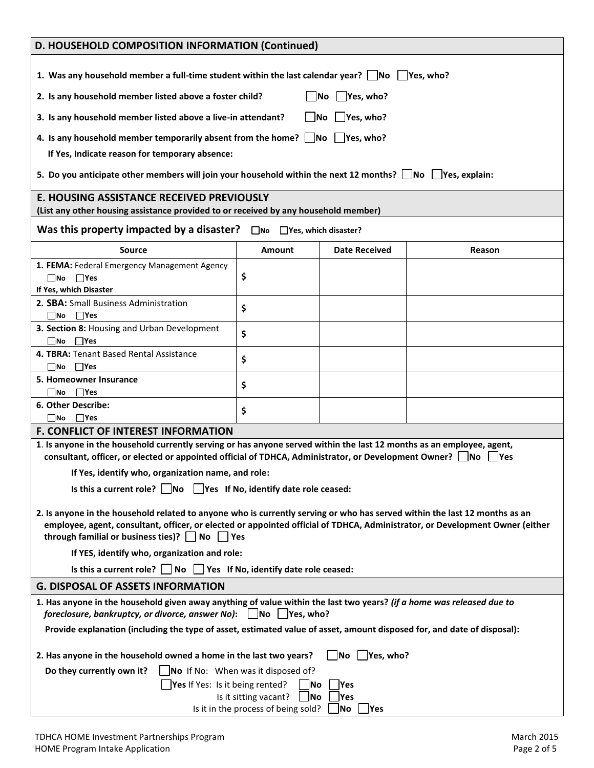|                                                                                                                                                                                                                                                            | D. HOUSEHOLD COMPOSITION INFORMATION (Continued)                               |                                              |        |  |  |  |
|------------------------------------------------------------------------------------------------------------------------------------------------------------------------------------------------------------------------------------------------------------|--------------------------------------------------------------------------------|----------------------------------------------|--------|--|--|--|
| 1. Was any household member a full-time student within the last calendar year? $\Box$ No $\Box$ Yes, who?                                                                                                                                                  |                                                                                |                                              |        |  |  |  |
| 2. Is any household member listed above a foster child?                                                                                                                                                                                                    |                                                                                | $\Box$ Yes, who?<br>$\overline{\mathsf{No}}$ |        |  |  |  |
|                                                                                                                                                                                                                                                            |                                                                                |                                              |        |  |  |  |
| 3. Is any household member listed above a live-in attendant?                                                                                                                                                                                               |                                                                                | $\blacksquare$ Yes, who?<br><b>No</b>        |        |  |  |  |
| 4. Is any household member temporarily absent from the home? $\Box$ No $\Box$ Yes, who?                                                                                                                                                                    |                                                                                |                                              |        |  |  |  |
| If Yes, Indicate reason for temporary absence:                                                                                                                                                                                                             |                                                                                |                                              |        |  |  |  |
| 5. Do you anticipate other members will join your household within the next 12 months? $\Box$ No $\Box$ Yes, explain:                                                                                                                                      |                                                                                |                                              |        |  |  |  |
| <b>E. HOUSING ASSISTANCE RECEIVED PREVIOUSLY</b>                                                                                                                                                                                                           |                                                                                |                                              |        |  |  |  |
| (List any other housing assistance provided to or received by any household member)                                                                                                                                                                        |                                                                                |                                              |        |  |  |  |
| Was this property impacted by a disaster?                                                                                                                                                                                                                  | $\Box$ No $\Box$ Yes, which disaster?                                          |                                              |        |  |  |  |
| <b>Source</b>                                                                                                                                                                                                                                              | Amount                                                                         | <b>Date Received</b>                         | Reason |  |  |  |
| 1. FEMA: Federal Emergency Management Agency                                                                                                                                                                                                               |                                                                                |                                              |        |  |  |  |
| $\Box$ No $\Box$ Yes                                                                                                                                                                                                                                       | \$                                                                             |                                              |        |  |  |  |
| If Yes, which Disaster                                                                                                                                                                                                                                     |                                                                                |                                              |        |  |  |  |
| 2. SBA: Small Business Administration<br>$\Box$ Yes<br>$\Box$ No                                                                                                                                                                                           | \$                                                                             |                                              |        |  |  |  |
| 3. Section 8: Housing and Urban Development                                                                                                                                                                                                                |                                                                                |                                              |        |  |  |  |
| $\square$ No $\square$ Yes                                                                                                                                                                                                                                 | \$                                                                             |                                              |        |  |  |  |
| 4. TBRA: Tenant Based Rental Assistance                                                                                                                                                                                                                    | \$                                                                             |                                              |        |  |  |  |
| $\square$ No $\square$ Yes                                                                                                                                                                                                                                 |                                                                                |                                              |        |  |  |  |
| 5. Homeowner Insurance                                                                                                                                                                                                                                     | \$                                                                             |                                              |        |  |  |  |
| $\Box$ Yes<br>   No<br>6. Other Describe:                                                                                                                                                                                                                  |                                                                                |                                              |        |  |  |  |
| $\square$ No $\square$ Yes                                                                                                                                                                                                                                 | \$                                                                             |                                              |        |  |  |  |
| <b>F. CONFLICT OF INTEREST INFORMATION</b>                                                                                                                                                                                                                 |                                                                                |                                              |        |  |  |  |
| 1. Is anyone in the household currently serving or has anyone served within the last 12 months as an employee, agent,                                                                                                                                      |                                                                                |                                              |        |  |  |  |
| consultant, officer, or elected or appointed official of TDHCA, Administrator, or Development Owner? $\Box$ No $\Box$ Yes                                                                                                                                  |                                                                                |                                              |        |  |  |  |
| If Yes, identify who, organization name, and role:                                                                                                                                                                                                         |                                                                                |                                              |        |  |  |  |
| Is this a current role? $\vert$ $\vert$ No $\vert$ Yes If No, identify date role ceased:                                                                                                                                                                   |                                                                                |                                              |        |  |  |  |
|                                                                                                                                                                                                                                                            |                                                                                |                                              |        |  |  |  |
| 2. Is anyone in the household related to anyone who is currently serving or who has served within the last 12 months as an<br>employee, agent, consultant, officer, or elected or appointed official of TDHCA, Administrator, or Development Owner (either |                                                                                |                                              |        |  |  |  |
| through familial or business ties)? $\Box$ No $\Box$ Yes                                                                                                                                                                                                   |                                                                                |                                              |        |  |  |  |
| If YES, identify who, organization and role:                                                                                                                                                                                                               |                                                                                |                                              |        |  |  |  |
|                                                                                                                                                                                                                                                            | Is this a current role? $\Box$ No $\Box$ Yes If No, identify date role ceased: |                                              |        |  |  |  |
| <b>G. DISPOSAL OF ASSETS INFORMATION</b>                                                                                                                                                                                                                   |                                                                                |                                              |        |  |  |  |
| 1. Has anyone in the household given away anything of value within the last two years? (if a home was released due to<br>foreclosure, bankruptcy, or divorce, answer No): No Yes, who?                                                                     |                                                                                |                                              |        |  |  |  |
| Provide explanation (including the type of asset, estimated value of asset, amount disposed for, and date of disposal):                                                                                                                                    |                                                                                |                                              |        |  |  |  |
| 2. Has anyone in the household owned a home in the last two years?<br>$\vert$ No $\vert$ Yes, who?                                                                                                                                                         |                                                                                |                                              |        |  |  |  |
| Do they currently own it?                                                                                                                                                                                                                                  | $\blacksquare$ No If No: When was it disposed of?                              |                                              |        |  |  |  |
| Yes If Yes: Is it being rented?                                                                                                                                                                                                                            | No                                                                             | Yes                                          |        |  |  |  |
|                                                                                                                                                                                                                                                            | Is it sitting vacant?<br>$\overline{\mathsf{No}}$                              | Yes                                          |        |  |  |  |
|                                                                                                                                                                                                                                                            | Is it in the process of being sold?                                            | No<br>$\gamma$ es                            |        |  |  |  |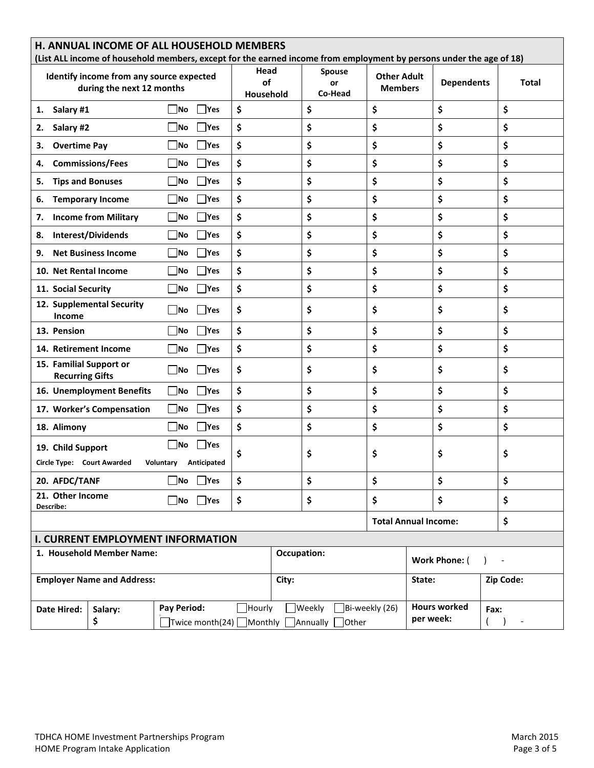|                                                   | <b>H. ANNUAL INCOME OF ALL HOUSEHOLD MEMBERS</b><br>(List ALL income of household members, except for the earned income from employment by persons under the age of 18) |                                                           |                         |             |                         |                                      |                     |              |
|---------------------------------------------------|-------------------------------------------------------------------------------------------------------------------------------------------------------------------------|-----------------------------------------------------------|-------------------------|-------------|-------------------------|--------------------------------------|---------------------|--------------|
|                                                   | Identify income from any source expected<br>during the next 12 months                                                                                                   |                                                           | Head<br>of<br>Household |             | Spouse<br>or<br>Co-Head | <b>Other Adult</b><br><b>Members</b> | <b>Dependents</b>   | <b>Total</b> |
| Salary #1<br>1.                                   |                                                                                                                                                                         | <b>Yes</b><br> No                                         | \$                      | \$          | \$                      |                                      | \$                  | \$           |
| Salary #2<br>2.                                   |                                                                                                                                                                         | No<br><b>Yes</b>                                          | \$                      | \$          | \$                      |                                      | \$                  | \$           |
| <b>Overtime Pay</b><br>3.                         |                                                                                                                                                                         | <b>Yes</b><br> No                                         | \$                      | \$          | \$                      |                                      | \$                  | \$           |
| 4.                                                | <b>Commissions/Fees</b>                                                                                                                                                 | No<br><b>Yes</b>                                          | \$                      | \$          | \$                      |                                      | \$                  | \$           |
| <b>Tips and Bonuses</b><br>5.                     |                                                                                                                                                                         | <b>Yes</b><br> No                                         | \$                      | \$          | \$                      |                                      | \$                  | \$           |
| 6.                                                | <b>Temporary Income</b>                                                                                                                                                 | <b>No</b><br>Yes                                          | \$                      | \$          | \$                      |                                      | \$                  | \$           |
| 7.                                                | <b>Income from Military</b>                                                                                                                                             | No<br><b>Yes</b>                                          | \$                      | \$          | \$                      |                                      | \$                  | \$           |
| 8.                                                | <b>Interest/Dividends</b>                                                                                                                                               | <b>Yes</b><br> No                                         | \$                      | \$          | \$                      |                                      | \$                  | \$           |
| 9.                                                | <b>Net Business Income</b>                                                                                                                                              | <b>Yes</b><br><b>No</b>                                   | \$                      | \$          | \$                      |                                      | \$                  | \$           |
| 10. Net Rental Income                             |                                                                                                                                                                         | $\gamma$<br> No                                           | \$                      | \$          | \$                      |                                      | \$                  | \$           |
| 11. Social Security                               |                                                                                                                                                                         | <b>Pres</b><br>  No                                       | \$                      | \$          | \$                      |                                      | \$                  | \$           |
| Income                                            | 12. Supplemental Security                                                                                                                                               | <b>Yes</b><br> No                                         | \$                      | \$          | \$                      |                                      | \$                  | \$           |
| 13. Pension                                       |                                                                                                                                                                         | <b>Yes</b><br> No                                         | \$                      | \$          | \$                      |                                      | \$                  | \$           |
| 14. Retirement Income                             |                                                                                                                                                                         | <b>Yes</b><br> No                                         | \$                      | \$          | \$                      |                                      | \$                  | \$           |
| 15. Familial Support or<br><b>Recurring Gifts</b> |                                                                                                                                                                         | No<br>Yes                                                 | \$                      | \$          | \$                      |                                      | \$                  | \$           |
|                                                   | 16. Unemployment Benefits                                                                                                                                               | Yes<br>  No                                               | \$                      | \$          | \$                      |                                      | \$                  | \$           |
|                                                   | 17. Worker's Compensation                                                                                                                                               | <b>Yes</b><br> No                                         | \$                      | \$          | \$                      |                                      | \$                  | \$           |
| 18. Alimony                                       |                                                                                                                                                                         | $\overline{\mathsf{No}}$<br><b>Yes</b>                    | \$                      | \$          | \$                      |                                      | \$                  | \$           |
| 19. Child Support                                 |                                                                                                                                                                         | Yes<br> No                                                | \$                      | \$          | \$                      |                                      | \$                  | \$           |
| Circle Type: Court Awarded                        |                                                                                                                                                                         | Voluntary Anticipated                                     |                         |             |                         |                                      |                     |              |
| 20. AFDC/TANF                                     |                                                                                                                                                                         | $\Box$ No $\Box$ Yes                                      | \$                      | \$          | \$                      |                                      | \$                  | \$           |
| 21. Other Income<br>Describe:                     |                                                                                                                                                                         | $\Box$ No $\Box$ Yes                                      | \$                      | \$          | \$                      |                                      | \$                  | \$           |
|                                                   |                                                                                                                                                                         |                                                           |                         |             |                         | <b>Total Annual Income:</b>          |                     | \$           |
|                                                   |                                                                                                                                                                         | <b>I. CURRENT EMPLOYMENT INFORMATION</b>                  |                         |             |                         |                                      |                     |              |
|                                                   | 1. Household Member Name:                                                                                                                                               |                                                           |                         | Occupation: |                         |                                      | Work Phone: (       |              |
|                                                   | <b>Employer Name and Address:</b>                                                                                                                                       |                                                           |                         | City:       |                         | State:                               |                     | Zip Code:    |
| Date Hired:                                       | Salary:<br>\$                                                                                                                                                           | Pay Period:<br>□Twice month(24) □Monthly □Annually □Other | Hourly                  | Weekly      | $\Box$ Bi-weekly (26)   | per week:                            | <b>Hours worked</b> | Fax:         |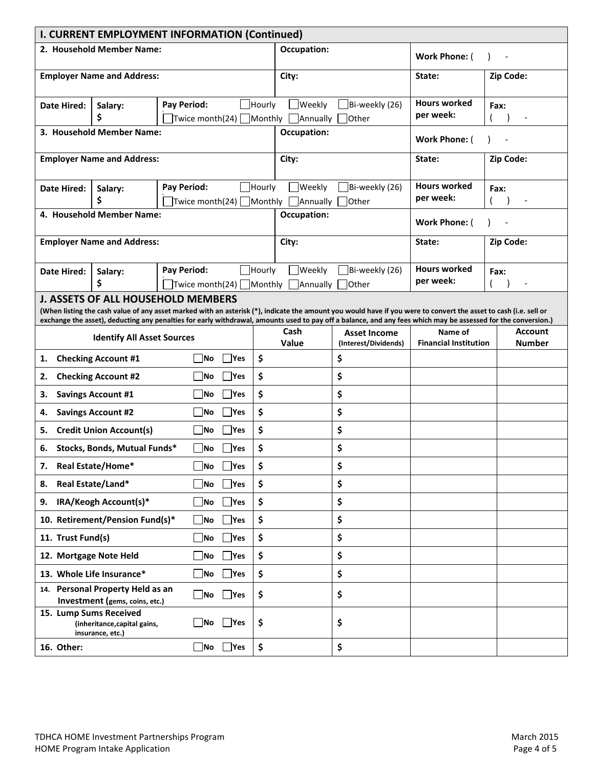|                                                                                                                                                                                                                                                                                                                                                                                | <b>I. CURRENT EMPLOYMENT INFORMATION (Continued)</b>               |             |                                       |               |             |                                                                                         |  |                                             |                                         |                                 |
|--------------------------------------------------------------------------------------------------------------------------------------------------------------------------------------------------------------------------------------------------------------------------------------------------------------------------------------------------------------------------------|--------------------------------------------------------------------|-------------|---------------------------------------|---------------|-------------|-----------------------------------------------------------------------------------------|--|---------------------------------------------|-----------------------------------------|---------------------------------|
|                                                                                                                                                                                                                                                                                                                                                                                | 2. Household Member Name:                                          |             |                                       |               |             | <b>Occupation:</b>                                                                      |  |                                             | Work Phone: (                           |                                 |
|                                                                                                                                                                                                                                                                                                                                                                                | <b>Employer Name and Address:</b>                                  |             |                                       |               |             | City:                                                                                   |  |                                             | State:                                  | Zip Code:                       |
| <b>Date Hired:</b>                                                                                                                                                                                                                                                                                                                                                             | Salary:<br>\$                                                      | Pay Period: |                                       |               | Hourly      | <b>Weekly</b><br>Twice month(24) Monthly Annually                                       |  | Bi-weekly (26)<br>Other                     | <b>Hours worked</b><br>per week:        | Fax:                            |
|                                                                                                                                                                                                                                                                                                                                                                                | 3. Household Member Name:                                          |             |                                       |               | Occupation: |                                                                                         |  | <b>Work Phone: (</b>                        |                                         |                                 |
|                                                                                                                                                                                                                                                                                                                                                                                | <b>Employer Name and Address:</b>                                  |             |                                       |               |             | City:                                                                                   |  |                                             | State:                                  | Zip Code:                       |
| <b>Date Hired:</b>                                                                                                                                                                                                                                                                                                                                                             | Salary:<br>\$                                                      | Pay Period: |                                       |               | Hourly      | <b>Weekly</b><br>$\boxed{\mathsf{Twice\,month(24)}$ Monthly $\boxed{\mathsf{Annually}}$ |  | $\Box$ Bi-weekly (26)<br>Other              | <b>Hours worked</b><br>per week:        | Fax:                            |
|                                                                                                                                                                                                                                                                                                                                                                                | 4. Household Member Name:                                          |             |                                       |               |             | <b>Occupation:</b>                                                                      |  |                                             | Work Phone: (                           |                                 |
|                                                                                                                                                                                                                                                                                                                                                                                | <b>Employer Name and Address:</b>                                  |             |                                       |               |             | City:                                                                                   |  |                                             | State:                                  | Zip Code:                       |
| <b>Date Hired:</b>                                                                                                                                                                                                                                                                                                                                                             | Salary:<br>\$                                                      | Pay Period: | Twice month(24) $\Box$ Monthly $\Box$ |               | Hourly      | Weekly<br>Annually                                                                      |  | Bi-weekly (26)<br><b>Other</b>              | <b>Hours worked</b><br>per week:        | Fax:                            |
| <b>J. ASSETS OF ALL HOUSEHOLD MEMBERS</b><br>(When listing the cash value of any asset marked with an asterisk (*), indicate the amount you would have if you were to convert the asset to cash (i.e. sell or<br>exchange the asset), deducting any penalties for early withdrawal, amounts used to pay off a balance, and any fees which may be assessed for the conversion.) |                                                                    |             |                                       |               |             |                                                                                         |  |                                             |                                         |                                 |
|                                                                                                                                                                                                                                                                                                                                                                                | <b>Identify All Asset Sources</b>                                  |             |                                       |               |             | Cash<br>Value                                                                           |  | <b>Asset Income</b><br>(Interest/Dividends) | Name of<br><b>Financial Institution</b> | <b>Account</b><br><b>Number</b> |
| 1.                                                                                                                                                                                                                                                                                                                                                                             | <b>Checking Account #1</b>                                         |             | No                                    | <b>Yes</b>    | \$          |                                                                                         |  | \$                                          |                                         |                                 |
| 2.                                                                                                                                                                                                                                                                                                                                                                             | <b>Checking Account #2</b>                                         |             | <b>INo</b>                            | <b>Yes</b>    | \$          |                                                                                         |  | \$                                          |                                         |                                 |
| 3.                                                                                                                                                                                                                                                                                                                                                                             | <b>Savings Account #1</b>                                          |             | No                                    | <b>Yes</b>    | \$          |                                                                                         |  | \$                                          |                                         |                                 |
| 4.                                                                                                                                                                                                                                                                                                                                                                             | <b>Savings Account #2</b>                                          |             | No                                    | Yes           | \$          |                                                                                         |  | \$                                          |                                         |                                 |
| 5.                                                                                                                                                                                                                                                                                                                                                                             | <b>Credit Union Account(s)</b>                                     |             | No                                    | Yes           | \$          |                                                                                         |  | \$                                          |                                         |                                 |
| 6.                                                                                                                                                                                                                                                                                                                                                                             | Stocks, Bonds, Mutual Funds*                                       |             | No                                    | Yes           | \$          |                                                                                         |  | \$                                          |                                         |                                 |
| 7.                                                                                                                                                                                                                                                                                                                                                                             | Real Estate/Home*                                                  |             | ∫No                                   | $\exists$ Yes | \$          |                                                                                         |  | \$                                          |                                         |                                 |
| 8.                                                                                                                                                                                                                                                                                                                                                                             | Real Estate/Land*                                                  |             | _ No                                  | $\sqrt{}$ Yes | \$          |                                                                                         |  | \$                                          |                                         |                                 |
| 9.                                                                                                                                                                                                                                                                                                                                                                             | IRA/Keogh Account(s)*                                              |             | ∫No                                   | $]$ Yes       | \$          |                                                                                         |  | \$                                          |                                         |                                 |
|                                                                                                                                                                                                                                                                                                                                                                                | 10. Retirement/Pension Fund(s)*                                    |             | $\blacksquare$ No                     | $\exists$ Yes | \$          |                                                                                         |  | \$                                          |                                         |                                 |
| 11. Trust Fund(s)                                                                                                                                                                                                                                                                                                                                                              |                                                                    |             | $\blacksquare$ No                     | $\Box$ Yes    | \$          |                                                                                         |  | \$                                          |                                         |                                 |
| 12. Mortgage Note Held                                                                                                                                                                                                                                                                                                                                                         |                                                                    |             | _∣No                                  | $\exists$ Yes | \$          |                                                                                         |  | \$                                          |                                         |                                 |
|                                                                                                                                                                                                                                                                                                                                                                                | 13. Whole Life Insurance*                                          |             | $\blacksquare$ No                     | $\exists$ Yes | \$          |                                                                                         |  | \$                                          |                                         |                                 |
|                                                                                                                                                                                                                                                                                                                                                                                | 14. Personal Property Held as an<br>Investment (gems, coins, etc.) |             | $\Box$ No                             | $\Box$ Yes    | \$          |                                                                                         |  | \$                                          |                                         |                                 |
| 15. Lump Sums Received                                                                                                                                                                                                                                                                                                                                                         | (inheritance, capital gains,<br>insurance, etc.)                   |             | _∣No                                  | $\exists$ Yes | \$          |                                                                                         |  | \$                                          |                                         |                                 |
| 16. Other:                                                                                                                                                                                                                                                                                                                                                                     |                                                                    |             | $\Box$ No                             | $\Box$ Yes    | \$          |                                                                                         |  | \$                                          |                                         |                                 |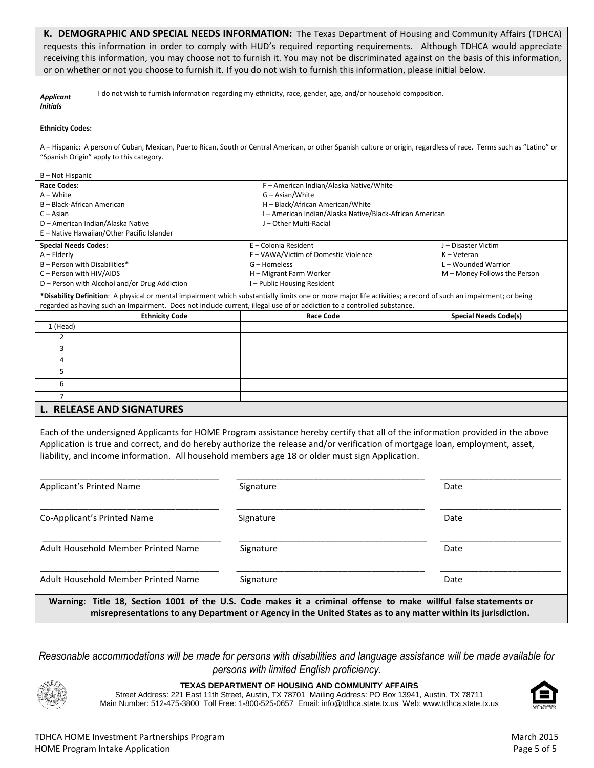|                                                                                                           |                                                                                 | K. DEMOGRAPHIC AND SPECIAL NEEDS INFORMATION: The Texas Department of Housing and Community Affairs (TDHCA)<br>requests this information in order to comply with HUD's required reporting requirements. Although TDHCA would appreciate                                                                                                                             |                                                                                       |
|-----------------------------------------------------------------------------------------------------------|---------------------------------------------------------------------------------|---------------------------------------------------------------------------------------------------------------------------------------------------------------------------------------------------------------------------------------------------------------------------------------------------------------------------------------------------------------------|---------------------------------------------------------------------------------------|
|                                                                                                           |                                                                                 | receiving this information, you may choose not to furnish it. You may not be discriminated against on the basis of this information,<br>or on whether or not you choose to furnish it. If you do not wish to furnish this information, please initial below.                                                                                                        |                                                                                       |
| <b>Applicant</b><br><b>Initials</b>                                                                       |                                                                                 | I do not wish to furnish information regarding my ethnicity, race, gender, age, and/or household composition.                                                                                                                                                                                                                                                       |                                                                                       |
| <b>Ethnicity Codes:</b><br>B – Not Hispanic                                                               | "Spanish Origin" apply to this category.                                        | A – Hispanic: A person of Cuban, Mexican, Puerto Rican, South or Central American, or other Spanish culture or origin, regardless of race. Terms such as "Latino" or                                                                                                                                                                                                |                                                                                       |
| <b>Race Codes:</b><br>A – White                                                                           |                                                                                 | F - American Indian/Alaska Native/White<br>G - Asian/White                                                                                                                                                                                                                                                                                                          |                                                                                       |
| B - Black-African American<br>$C - Asian$                                                                 | D - American Indian/Alaska Native<br>E - Native Hawaiian/Other Pacific Islander | H - Black/African American/White<br>I-American Indian/Alaska Native/Black-African American<br>J - Other Multi-Racial                                                                                                                                                                                                                                                |                                                                                       |
| <b>Special Needs Codes:</b><br>$A - Elderly$<br>B - Person with Disabilities*<br>C - Person with HIV/AIDS | D - Person with Alcohol and/or Drug Addiction                                   | E - Colonia Resident<br>F - VAWA/Victim of Domestic Violence<br>G - Homeless<br>H - Migrant Farm Worker<br>I-Public Housing Resident                                                                                                                                                                                                                                | J-Disaster Victim<br>K-Veteran<br>L - Wounded Warrior<br>M - Money Follows the Person |
|                                                                                                           |                                                                                 | *Disability Definition: A physical or mental impairment which substantially limits one or more major life activities; a record of such an impairment; or being<br>regarded as having such an Impairment. Does not include current, illegal use of or addiction to a controlled substance.                                                                           |                                                                                       |
|                                                                                                           | <b>Ethnicity Code</b>                                                           | <b>Race Code</b>                                                                                                                                                                                                                                                                                                                                                    | <b>Special Needs Code(s)</b>                                                          |
| 1 (Head)                                                                                                  |                                                                                 |                                                                                                                                                                                                                                                                                                                                                                     |                                                                                       |
| $\overline{2}$                                                                                            |                                                                                 |                                                                                                                                                                                                                                                                                                                                                                     |                                                                                       |
| 3                                                                                                         |                                                                                 |                                                                                                                                                                                                                                                                                                                                                                     |                                                                                       |
| 4                                                                                                         |                                                                                 |                                                                                                                                                                                                                                                                                                                                                                     |                                                                                       |
| 5                                                                                                         |                                                                                 |                                                                                                                                                                                                                                                                                                                                                                     |                                                                                       |
| 6                                                                                                         |                                                                                 |                                                                                                                                                                                                                                                                                                                                                                     |                                                                                       |
| $\overline{7}$                                                                                            |                                                                                 |                                                                                                                                                                                                                                                                                                                                                                     |                                                                                       |
|                                                                                                           | <b>L. RELEASE AND SIGNATURES</b>                                                |                                                                                                                                                                                                                                                                                                                                                                     |                                                                                       |
|                                                                                                           |                                                                                 | Each of the undersigned Applicants for HOME Program assistance hereby certify that all of the information provided in the above<br>Application is true and correct, and do hereby authorize the release and/or verification of mortgage loan, employment, asset,<br>liability, and income information. All household members age 18 or older must sign Application. |                                                                                       |
| Applicant's Printed Name                                                                                  |                                                                                 | Signature                                                                                                                                                                                                                                                                                                                                                           | Date                                                                                  |
|                                                                                                           | Co-Applicant's Printed Name                                                     | Signature                                                                                                                                                                                                                                                                                                                                                           | Date                                                                                  |
|                                                                                                           | Adult Household Member Printed Name                                             | Signature                                                                                                                                                                                                                                                                                                                                                           | Date                                                                                  |
|                                                                                                           | Adult Household Member Printed Name                                             | Signature                                                                                                                                                                                                                                                                                                                                                           | Date                                                                                  |
|                                                                                                           |                                                                                 | Warning: Title 18, Section 1001 of the U.S. Code makes it a criminal offense to make willful false statements or<br>misrepresentations to any Department or Agency in the United States as to any matter within its jurisdiction.                                                                                                                                   |                                                                                       |

*Reasonable accommodations will be made for persons with disabilities and language assistance will be made available for persons with limited English proficiency.*



**TEXAS DEPARTMENT OF HOUSING AND COMMUNITY AFFAIRS**

Street Address: 221 East 11th Street, Austin, TX 78701 Mailing Address: PO Box 13941, Austin, TX 78711 Main Number: 512-475-3800 Toll Free: 1-800-525-0657 Email: info@tdhca.state.tx.us Web: www.tdhca.state.tx.us

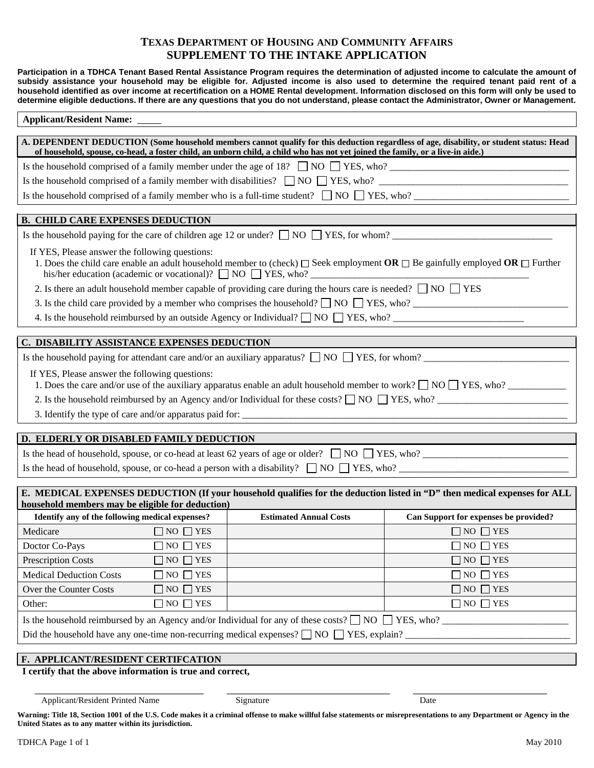# **TEXAS DEPARTMENT OF HOUSING AND COMMUNITY AFFAIRS SUPPLEMENT TO THE INTAKE APPLICATION**

**Participation in a TDHCA Tenant Based Rental Assistance Program requires the determination of adjusted income to calculate the amount of subsidy assistance your household may be eligible for. Adjusted income is also used to determine the required tenant paid rent of a household identified as over income at recertification on a HOME Rental development. Information disclosed on this form will only be used to determine eligible deductions. If there are any questions that you do not understand, please contact the Administrator, Owner or Management.** 

| <b>Applicant/Resident Name:</b>                                                                                                                                                                                                                                           |                                                                                                           |                                       |  |  |  |  |
|---------------------------------------------------------------------------------------------------------------------------------------------------------------------------------------------------------------------------------------------------------------------------|-----------------------------------------------------------------------------------------------------------|---------------------------------------|--|--|--|--|
| A. DEPENDENT DEDUCTION (Some household members cannot qualify for this deduction regardless of age, disability, or student status: Head<br>of household, spouse, co-head, a foster child, an unborn child, a child who has not yet joined the family, or a live-in aide.) |                                                                                                           |                                       |  |  |  |  |
| Is the household comprised of a family member under the age of 18? $\Box$ NO $\Box$ YES, who?                                                                                                                                                                             |                                                                                                           |                                       |  |  |  |  |
|                                                                                                                                                                                                                                                                           |                                                                                                           |                                       |  |  |  |  |
| Is the household comprised of a family member who is a full-time student? $\Box$ NO $\Box$ YES, who?                                                                                                                                                                      |                                                                                                           |                                       |  |  |  |  |
|                                                                                                                                                                                                                                                                           |                                                                                                           |                                       |  |  |  |  |
| <b>B. CHILD CARE EXPENSES DEDUCTION</b>                                                                                                                                                                                                                                   |                                                                                                           |                                       |  |  |  |  |
| Is the household paying for the care of children age 12 or under? $\Box$ NO $\Box$ YES, for whom?                                                                                                                                                                         |                                                                                                           |                                       |  |  |  |  |
| If YES, Please answer the following questions:<br>1. Does the child care enable an adult household member to (check) $\Box$ Seek employment OR $\Box$ Be gainfully employed OR $\Box$ Further                                                                             |                                                                                                           |                                       |  |  |  |  |
| 2. Is there an adult household member capable of providing care during the hours care is needed? $\Box$ NO $\Box$ YES                                                                                                                                                     |                                                                                                           |                                       |  |  |  |  |
| 3. Is the child care provided by a member who comprises the household? $\Box$ NO $\Box$ YES, who?                                                                                                                                                                         |                                                                                                           |                                       |  |  |  |  |
| 4. Is the household reimbursed by an outside Agency or Individual? $\Box$ NO $\Box$ YES, who?                                                                                                                                                                             |                                                                                                           |                                       |  |  |  |  |
| C. DISABILITY ASSISTANCE EXPENSES DEDUCTION                                                                                                                                                                                                                               |                                                                                                           |                                       |  |  |  |  |
|                                                                                                                                                                                                                                                                           | Is the household paying for attendant care and/or an auxiliary apparatus? $\Box$ NO $\Box$ YES, for whom? |                                       |  |  |  |  |
| If YES, Please answer the following questions:<br>1. Does the care and/or use of the auxiliary apparatus enable an adult household member to work? $\Box$ NO $\Box$ YES, who?                                                                                             |                                                                                                           |                                       |  |  |  |  |
|                                                                                                                                                                                                                                                                           |                                                                                                           |                                       |  |  |  |  |
|                                                                                                                                                                                                                                                                           |                                                                                                           |                                       |  |  |  |  |
| D. ELDERLY OR DISABLED FAMILY DEDUCTION                                                                                                                                                                                                                                   |                                                                                                           |                                       |  |  |  |  |
| Is the head of household, spouse, or co-head at least 62 years of age or older? $\Box$ NO $\Box$ YES, who?                                                                                                                                                                |                                                                                                           |                                       |  |  |  |  |
| Is the head of household, spouse, or co-head a person with a disability? $\Box$ NO $\Box$ YES, who?                                                                                                                                                                       |                                                                                                           |                                       |  |  |  |  |
|                                                                                                                                                                                                                                                                           |                                                                                                           |                                       |  |  |  |  |
| E. MEDICAL EXPENSES DEDUCTION (If your household qualifies for the deduction listed in "D" then medical expenses for ALL<br>household members may be eligible for deduction)                                                                                              |                                                                                                           |                                       |  |  |  |  |
| Identify any of the following medical expenses?                                                                                                                                                                                                                           | <b>Estimated Annual Costs</b>                                                                             | Can Support for expenses be provided? |  |  |  |  |
| $\Box$ NO $\Box$ YES<br>Medicare                                                                                                                                                                                                                                          |                                                                                                           | $\Box$ NO $\Box$ YES                  |  |  |  |  |
| $\Box$ NO $\Box$ YES<br>Doctor Co-Pays                                                                                                                                                                                                                                    |                                                                                                           | $\Box$ NO $\Box$ YES                  |  |  |  |  |
| $\Box$ NO $\Box$ YES<br>$\Box$ NO $\Box$ YES<br><b>Prescription Costs</b>                                                                                                                                                                                                 |                                                                                                           |                                       |  |  |  |  |
| <b>Medical Deduction Costs</b><br>$\Box$ NO $\Box$ YES<br>$\Box$ NO $\Box$ YES                                                                                                                                                                                            |                                                                                                           |                                       |  |  |  |  |
| Over the Counter Costs<br>$\Box$ NO $\Box$ YES<br>$\Box$ NO $\Box$ YES                                                                                                                                                                                                    |                                                                                                           |                                       |  |  |  |  |
| $\Box$ NO $\Box$ YES<br>$\Box$ NO $\Box$ YES<br>Other:                                                                                                                                                                                                                    |                                                                                                           |                                       |  |  |  |  |
| Is the household reimbursed by an Agency and/or Individual for any of these costs? $\Box$ NO $\Box$ YES, who?                                                                                                                                                             |                                                                                                           |                                       |  |  |  |  |
| Did the household have any one-time non-recurring medical expenses? $\Box$ NO $\Box$ YES, explain?                                                                                                                                                                        |                                                                                                           |                                       |  |  |  |  |
|                                                                                                                                                                                                                                                                           |                                                                                                           |                                       |  |  |  |  |
| F. APPLICANT/RESIDENT CERTIFCATION<br>I certify that the above information is true and correct,                                                                                                                                                                           |                                                                                                           |                                       |  |  |  |  |

# Applicant/Resident Printed Name Signature Signature Date

Warning: Title 18, Section 1001 of the U.S. Code makes it a criminal offense to make willful false statements or misrepresentations to any Department or Agency in the **United States as to any matter within its jurisdiction.**